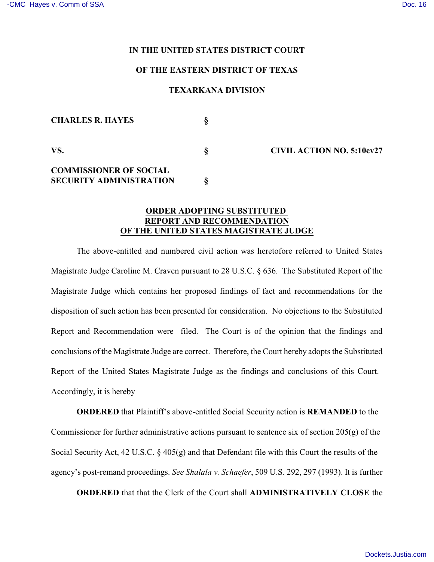#### **IN THE UNITED STATES DISTRICT COURT**

## **OF THE EASTERN DISTRICT OF TEXAS**

### **TEXARKANA DIVISION**

| <b>CHARLES R. HAYES</b>                                         |                                  |
|-----------------------------------------------------------------|----------------------------------|
| VS.                                                             | <b>CIVIL ACTION NO. 5:10cv27</b> |
| <b>COMMISSIONER OF SOCIAL</b><br><b>SECURITY ADMINISTRATION</b> |                                  |

# **ORDER ADOPTING SUBSTITUTED REPORT AND RECOMMENDATION OF THE UNITED STATES MAGISTRATE JUDGE**

The above-entitled and numbered civil action was heretofore referred to United States Magistrate Judge Caroline M. Craven pursuant to 28 U.S.C. § 636. The Substituted Report of the Magistrate Judge which contains her proposed findings of fact and recommendations for the disposition of such action has been presented for consideration. No objections to the Substituted Report and Recommendation were filed. The Court is of the opinion that the findings and conclusions of the Magistrate Judge are correct. Therefore, the Court hereby adopts the Substituted Report of the United States Magistrate Judge as the findings and conclusions of this Court. Accordingly, it is hereby

**ORDERED** that Plaintiff's above-entitled Social Security action is **REMANDED** to the Commissioner for further administrative actions pursuant to sentence six of section 205(g) of the Social Security Act, 42 U.S.C. § 405(g) and that Defendant file with this Court the results of the agency's post-remand proceedings. *See Shalala v. Schaefer*, 509 U.S. 292, 297 (1993). It is further

**ORDERED** that that the Clerk of the Court shall **ADMINISTRATIVELY CLOSE** the